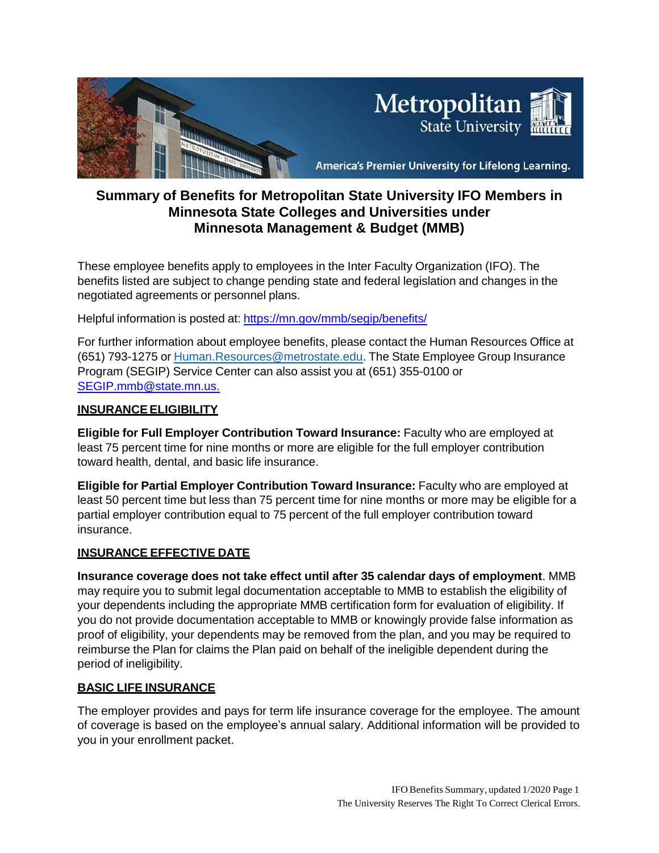

# **Summary of Benefits for Metropolitan State University IFO Members in Minnesota State Colleges and Universities under Minnesota Management & Budget (MMB)**

These employee benefits apply to employees in the Inter Faculty Organization (IFO). The benefits listed are subject to change pending state and federal legislation and changes in the negotiated agreements or personnel plans.

Helpful information is posted at: <https://mn.gov/mmb/segip/benefits/>

For further information about employee benefits, please contact the Human Resources Office at (651) 793-1275 or [Human.Resources@metrostate.edu.](mailto:Human.Resources@metrostate.edu) The State Employee Group Insurance Program (SEGIP) Service Center can also assist you at (651) 355-0100 or [SEGIP.mmb@state.mn.us.](mailto:SEGIP.mmb@state.mn.us.)

### **INSURANCEELIGIBILITY**

**Eligible for Full Employer Contribution Toward Insurance:** Faculty who are employed at least 75 percent time for nine months or more are eligible for the full employer contribution toward health, dental, and basic life insurance.

**Eligible for Partial Employer Contribution Toward Insurance:** Faculty who are employed at least 50 percent time but less than 75 percent time for nine months or more may be eligible for a partial employer contribution equal to 75 percent of the full employer contribution toward insurance.

# **INSURANCE EFFECTIVE DATE**

**Insurance coverage does not take effect until after 35 calendar days of employment**. MMB may require you to submit legal documentation acceptable to MMB to establish the eligibility of your dependents including the appropriate MMB certification form for evaluation of eligibility. If you do not provide documentation acceptable to MMB or knowingly provide false information as proof of eligibility, your dependents may be removed from the plan, and you may be required to reimburse the Plan for claims the Plan paid on behalf of the ineligible dependent during the period of ineligibility.

# **BASIC LIFE INSURANCE**

The employer provides and pays for term life insurance coverage for the employee. The amount of coverage is based on the employee's annual salary. Additional information will be provided to you in your enrollment packet.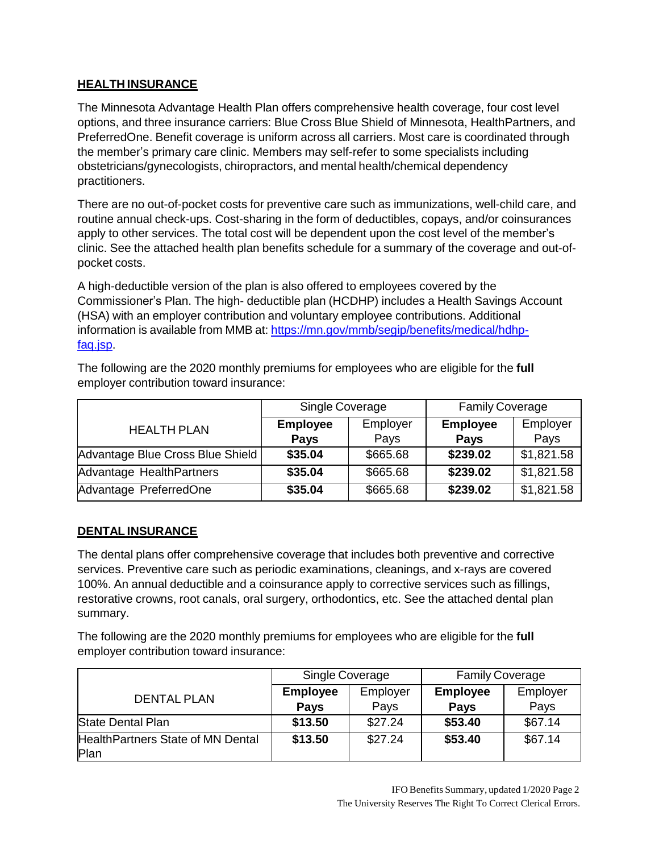# **HEALTH INSURANCE**

The Minnesota Advantage Health Plan offers comprehensive health coverage, four cost level options, and three insurance carriers: Blue Cross Blue Shield of Minnesota, HealthPartners, and PreferredOne. Benefit coverage is uniform across all carriers. Most care is coordinated through the member's primary care clinic. Members may self-refer to some specialists including obstetricians/gynecologists, chiropractors, and mental health/chemical dependency practitioners.

There are no out-of-pocket costs for preventive care such as immunizations, well-child care, and routine annual check-ups. Cost-sharing in the form of deductibles, copays, and/or coinsurances apply to other services. The total cost will be dependent upon the cost level of the member's clinic. See the attached health plan benefits schedule for a summary of the coverage and out-ofpocket costs.

A high-deductible version of the plan is also offered to employees covered by the Commissioner's Plan. The high- deductible plan (HCDHP) includes a Health Savings Account (HSA) with an employer contribution and voluntary employee contributions. Additional information is available from MMB at: [https://mn.gov/mmb/segip/benefits/medical/hdhp](https://mn.gov/mmb/segip/benefits/medical/hdhp-faq.jsp)[faq.jsp.](https://mn.gov/mmb/segip/benefits/medical/hdhp-faq.jsp)

The following are the 2020 monthly premiums for employees who are eligible for the **full** employer contribution toward insurance:

|                                  | Single Coverage |          | <b>Family Coverage</b> |            |
|----------------------------------|-----------------|----------|------------------------|------------|
| <b>HEALTH PLAN</b>               | <b>Employee</b> | Employer | <b>Employee</b>        | Employer   |
|                                  | <b>Pays</b>     | Pays     | <b>Pays</b>            | Pays       |
| Advantage Blue Cross Blue Shield | \$35.04         | \$665.68 | \$239.02               | \$1,821.58 |
| Advantage HealthPartners         | \$35.04         | \$665.68 | \$239.02               | \$1,821.58 |
| Advantage PreferredOne           | \$35.04         | \$665.68 | \$239.02               | \$1,821.58 |

#### **DENTAL INSURANCE**

The dental plans offer comprehensive coverage that includes both preventive and corrective services. Preventive care such as periodic examinations, cleanings, and x-rays are covered 100%. An annual deductible and a coinsurance apply to corrective services such as fillings, restorative crowns, root canals, oral surgery, orthodontics, etc. See the attached dental plan summary.

The following are the 2020 monthly premiums for employees who are eligible for the **full** employer contribution toward insurance:

|                                   | Single Coverage |          | <b>Family Coverage</b> |          |
|-----------------------------------|-----------------|----------|------------------------|----------|
| <b>DENTAL PLAN</b>                | <b>Employee</b> | Employer | <b>Employee</b>        | Employer |
|                                   | <b>Pays</b>     | Pays     | <b>Pays</b>            | Pays     |
| State Dental Plan                 | \$13.50         | \$27.24  | \$53.40                | \$67.14  |
| HealthPartners State of MN Dental | \$13.50         | \$27.24  | \$53.40                | \$67.14  |
| Plan                              |                 |          |                        |          |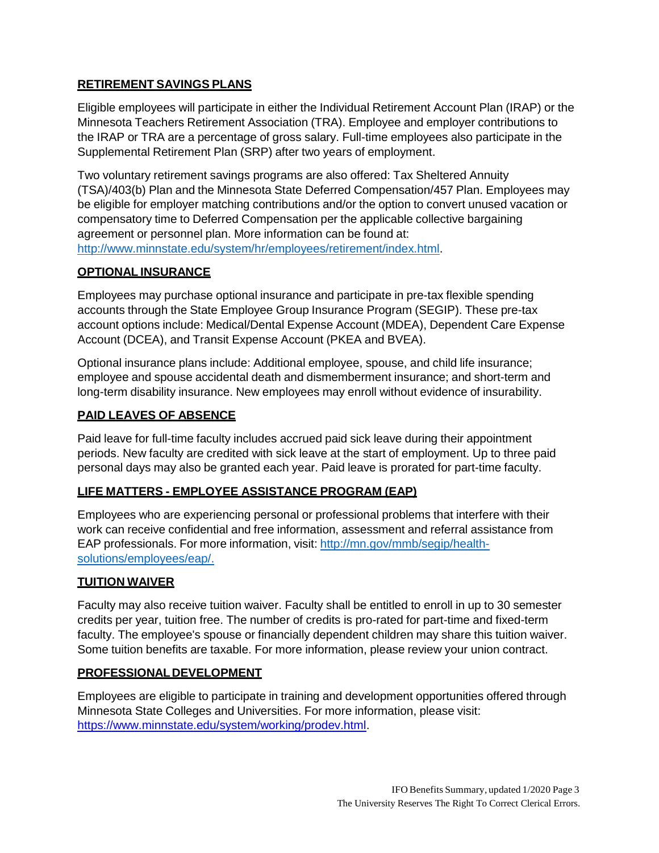# **RETIREMENT SAVINGS PLANS**

Eligible employees will participate in either the Individual Retirement Account Plan (IRAP) or the Minnesota Teachers Retirement Association (TRA). Employee and employer contributions to the IRAP or TRA are a percentage of gross salary. Full-time employees also participate in the Supplemental Retirement Plan (SRP) after two years of employment.

Two voluntary retirement savings programs are also offered: Tax Sheltered Annuity (TSA)/403(b) Plan and the Minnesota State Deferred Compensation/457 Plan. Employees may be eligible for employer matching contributions and/or the option to convert unused vacation or compensatory time to Deferred Compensation per the applicable collective bargaining agreement or personnel plan. More information can be found at: [http://www.minnstate.edu/system/hr/employees/retirement/index.html.](http://www.minnstate.edu/system/hr/employees/retirement/index.html)

#### **OPTIONAL INSURANCE**

Employees may purchase optional insurance and participate in pre-tax flexible spending accounts through the State Employee Group Insurance Program (SEGIP). These pre-tax account options include: Medical/Dental Expense Account (MDEA), Dependent Care Expense Account (DCEA), and Transit Expense Account (PKEA and BVEA).

Optional insurance plans include: Additional employee, spouse, and child life insurance; employee and spouse accidental death and dismemberment insurance; and short-term and long-term disability insurance. New employees may enroll without evidence of insurability.

### **PAID LEAVES OF ABSENCE**

Paid leave for full-time faculty includes accrued paid sick leave during their appointment periods. New faculty are credited with sick leave at the start of employment. Up to three paid personal days may also be granted each year. Paid leave is prorated for part-time faculty.

# **LIFE MATTERS - EMPLOYEE ASSISTANCE PROGRAM (EAP)**

Employees who are experiencing personal or professional problems that interfere with their work can receive confidential and free information, assessment and referral assistance from EAP professionals. For more information, visit: [http://mn.gov/mmb/segip/health](http://mn.gov/mmb/segip/health-)solutions/employees/eap/.

#### **TUITION WAIVER**

Faculty may also receive tuition waiver. Faculty shall be entitled to enroll in up to 30 semester credits per year, tuition free. The number of credits is pro-rated for part-time and fixed-term faculty. The employee's spouse or financially dependent children may share this tuition waiver. Some tuition benefits are taxable. For more information, please review your union contract.

#### **PROFESSIONALDEVELOPMENT**

Employees are eligible to participate in training and development opportunities offered through Minnesota State Colleges and Universities. For more information, please visit: [https://www.minnstate.edu/system/working/prodev.html.](https://www.minnstate.edu/system/working/prodev.html)